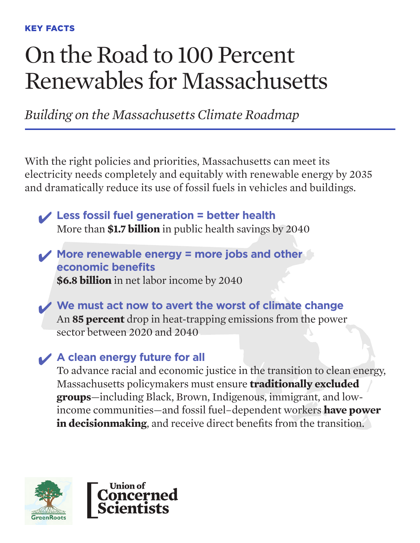## On the Road to 100 Percent Renewables for Massachusetts

*Building on the Massachusetts Climate Roadmap*

With the right policies and priorities, Massachusetts can meet its electricity needs completely and equitably with renewable energy by 2035 and dramatically reduce its use of fossil fuels in vehicles and buildings.

✔ **Less fossil fuel generation = better health**  More than **\$1.7 billion** in public health savings by 2040

✔ **More renewable energy = more jobs and other economic benefits \$6.8 billion** in net labor income by 2040

✔ **We must act now to avert the worst of climate change** An **85 percent** drop in heat-trapping emissions from the power sector between 2020 and 2040

### ✔ **A clean energy future for all**

To advance racial and economic justice in the transition to clean energy, Massachusetts policymakers must ensure **traditionally excluded groups**—including Black, Brown, Indigenous, immigrant, and lowincome communities—and fossil fuel–dependent workers **have power in decisionmaking**, and receive direct benefits from the transition.



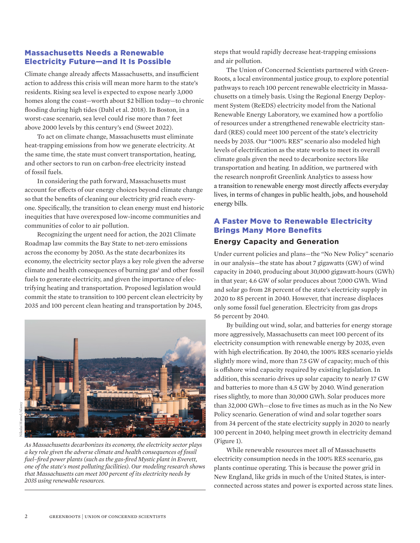#### Massachusetts Needs a Renewable Electricity Future—and It Is Possible

Climate change already affects Massachusetts, and insufficient action to address this crisis will mean more harm to the state's residents. Rising sea level is expected to expose nearly 3,000 homes along the coast—worth about \$2 billion today—to chronic flooding during high tides (Dahl et al. 2018). In Boston, in a worst-case scenario, sea level could rise more than 7 feet above 2000 levels by this century's end (Sweet 2022).

To act on climate change, Massachusetts must eliminate heat-trapping emissions from how we generate electricity. At the same time, the state must convert transportation, heating, and other sectors to run on carbon-free electricity instead of fossil fuels.

In considering the path forward, Massachusetts must account for effects of our energy choices beyond climate change so that the benefits of cleaning our electricity grid reach everyone. Specifically, the transition to clean energy must end historic inequities that have overexposed low-income communities and communities of color to air pollution.

Recognizing the urgent need for action, the 2021 Climate Roadmap law commits the Bay State to net-zero emissions across the economy by 2050. As the state decarbonizes its economy, the electricity sector plays a key role given the adverse climate and health consequences of burning gas<sup>1</sup> and other fossil fuels to generate electricity, and given the importance of electrifying heating and transportation. Proposed legislation would commit the state to transition to 100 percent clean electricity by 2035 and 100 percent clean heating and transportation by 2045,



*As Massachusetts decarbonizes its economy, the electricity sector plays a key role given the adverse climate and health consequences of fossil fuel–fired power plants (such as the gas-fired Mystic plant in Everett, one of the state's most polluting facilities). Our modeling research shows that Massachusetts can meet 100 percent of its electricity needs by 2035 using renewable resources.* 

steps that would rapidly decrease heat-trapping emissions and air pollution.

The Union of Concerned Scientists partnered with Green-Roots, a local environmental justice group, to explore potential pathways to reach 100 percent renewable electricity in Massachusetts on a timely basis. Using the Regional Energy Deployment System (ReEDS) electricity model from the National Renewable Energy Laboratory, we examined how a portfolio of resources under a strengthened renewable electricity standard (RES) could meet 100 percent of the state's electricity needs by 2035. Our "100% RES" scenario also modeled high levels of electrification as the state works to meet its overall climate goals given the need to decarbonize sectors like transportation and heating. In addition, we partnered with the research nonprofit Greenlink Analytics to assess how a transition to renewable energy most directly affects everyday lives, in terms of changes in public health, jobs, and household energy bills.

#### A Faster Move to Renewable Electricity Brings Many More Benefits

#### **Energy Capacity and Generation**

Under current policies and plans—the "No New Policy" scenario in our analysis—the state has about 7 gigawatts (GW) of wind capacity in 2040, producing about 30,000 gigawatt-hours (GWh) in that year; 4.6 GW of solar produces about 7,000 GWh. Wind and solar go from 28 percent of the state's electricity supply in 2020 to 85 percent in 2040. However, that increase displaces only some fossil fuel generation. Electricity from gas drops 56 percent by 2040.

By building out wind, solar, and batteries for energy storage more aggressively, Massachusetts can meet 100 percent of its electricity consumption with renewable energy by 2035, even with high electrification. By 2040, the 100% RES scenario yields slightly more wind, more than 7.5 GW of capacity; much of this is offshore wind capacity required by existing legislation. In addition, this scenario drives up solar capacity to nearly 17 GW and batteries to more than 4.5 GW by 2040. Wind generation rises slightly, to more than 30,000 GWh. Solar produces more than 32,000 GWh—close to five times as much as in the No New Policy scenario. Generation of wind and solar together soars from 34 percent of the state electricity supply in 2020 to nearly 100 percent in 2040, helping meet growth in electricity demand (Figure 1).

While renewable resources meet all of Massachusetts electricity consumption needs in the 100% RES scenario, gas plants continue operating. This is because the power grid in New England, like grids in much of the United States, is interconnected across states and power is exported across state lines.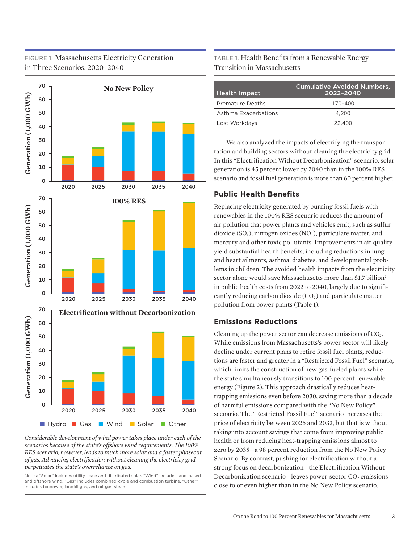#### FIGURE 1. Massachusetts Electricity Generation in Three Scenarios, 2020–2040



*Considerable development of wind power takes place under each of the scenarios because of the state's offshore wind requirements. The 100% RES scenario, however, leads to much more solar and a faster phaseout of gas. Advancing electrification without cleaning the electricity grid perpetuates the state's overreliance on gas.*

Notes: "Solar" includes utility scale and distributed solar. "Wind" includes land-based and offshore wind. "Gas" includes combined-cycle and combustion turbine. "Other" includes biopower, landfill gas, and oil-gas-steam.

TABLE 1. Health Benefits from a Renewable Energy Transition in Massachusetts

| <b>Health Impact</b>    | <b>Cumulative Avoided Numbers,</b><br>2022-2040 |
|-------------------------|-------------------------------------------------|
| <b>Premature Deaths</b> | 170-400                                         |
| Asthma Exacerbations    | 4.200                                           |
| Lost Workdays           | 22,400                                          |

We also analyzed the impacts of electrifying the transportation and building sectors without cleaning the electricity grid. In this "Electrification Without Decarbonization" scenario, solar generation is 45 percent lower by 2040 than in the 100% RES scenario and fossil fuel generation is more than 60 percent higher.

#### **Public Health Benefits**

Replacing electricity generated by burning fossil fuels with renewables in the 100% RES scenario reduces the amount of air pollution that power plants and vehicles emit, such as sulfur dioxide (SO<sub>2</sub>), nitrogen oxides (NO<sub>x</sub>), particulate matter, and mercury and other toxic pollutants. Improvements in air quality yield substantial health benefits, including reductions in lung and heart ailments, asthma, diabetes, and developmental problems in children. The avoided health impacts from the electricity sector alone would save Massachusetts more than \$1.7 billion<sup>2</sup> in public health costs from 2022 to 2040, largely due to significantly reducing carbon dioxide  $(CO_2)$  and particulate matter pollution from power plants (Table 1).

#### **Emissions Reductions**

Cleaning up the power sector can decrease emissions of  $CO<sub>2</sub>$ . While emissions from Massachusetts's power sector will likely decline under current plans to retire fossil fuel plants, reductions are faster and greater in a "Restricted Fossil Fuel" scenario, which limits the construction of new gas-fueled plants while the state simultaneously transitions to 100 percent renewable energy (Figure 2). This approach drastically reduces heattrapping emissions even before 2030, saving more than a decade of harmful emissions compared with the "No New Policy" scenario. The "Restricted Fossil Fuel" scenario increases the price of electricity between 2026 and 2032, but that is without taking into account savings that come from improving public health or from reducing heat-trapping emissions almost to zero by 2035—a 98 percent reduction from the No New Policy Scenario. By contrast, pushing for electrification without a strong focus on decarbonization—the Electrification Without Decarbonization scenario—leaves power-sector  $CO<sub>2</sub>$  emissions close to or even higher than in the No New Policy scenario.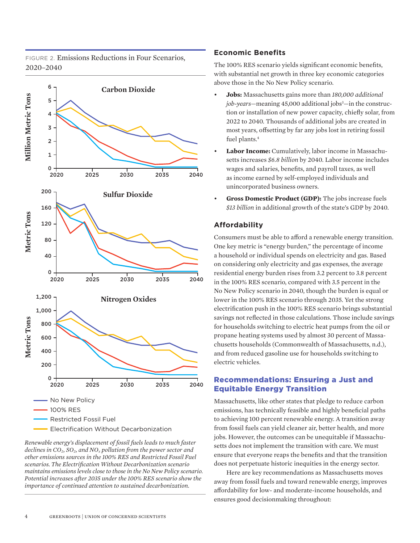FIGURE 2. Emissions Reductions in Four Scenarios, 2020–2040



*Renewable energy's displacement of fossil fuels leads to much faster declines in CO2, SO2, and NOx pollution from the power sector and other emissions sources in the 100% RES and Restricted Fossil Fuel scenarios. The Electrification Without Decarbonization scenario maintains emissions levels close to those in the No New Policy scenario. Potential increases after 2035 under the 100% RES scenario show the importance of continued attention to sustained decarbonization.*

#### **Economic Benefits**

The 100% RES scenario yields significant economic benefits, with substantial net growth in three key economic categories above those in the No New Policy scenario.

- **Jobs:** Massachusetts gains more than *180,000 additional job-years*—meaning 45,000 additional jobs<sup>3</sup>—in the construction or installation of new power capacity, chiefly solar, from 2022 to 2040. Thousands of additional jobs are created in most years, offsetting by far any jobs lost in retiring fossil fuel plants.<sup>4</sup>
- **Labor Income:** Cumulatively, labor income in Massachusetts increases *\$6.8 billion* by 2040. Labor income includes wages and salaries, benefits, and payroll taxes, as well as income earned by self-employed individuals and unincorporated business owners.
- **Gross Domestic Product (GDP):** The jobs increase fuels *\$13 billion* in additional growth of the state's GDP by 2040.

#### **Affordability**

Consumers must be able to afford a renewable energy transition. One key metric is "energy burden," the percentage of income a household or individual spends on electricity and gas. Based on considering only electricity and gas expenses, the average residential energy burden rises from 3.2 percent to 3.8 percent in the 100% RES scenario, compared with 3.5 percent in the No New Policy scenario in 2040, though the burden is equal or lower in the 100% RES scenario through 2035. Yet the strong electrification push in the 100% RES scenario brings substantial savings not reflected in those calculations. Those include savings for households switching to electric heat pumps from the oil or propane heating systems used by almost 30 percent of Massachusetts households (Commonwealth of Massachusetts, n.d.), and from reduced gasoline use for households switching to electric vehicles.

#### Recommendations: Ensuring a Just and Equitable Energy Transition

Massachusetts, like other states that pledge to reduce carbon emissions, has technically feasible and highly beneficial paths to achieving 100 percent renewable energy. A transition away from fossil fuels can yield cleaner air, better health, and more jobs. However, the outcomes can be unequitable if Massachusetts does not implement the transition with care. We must ensure that everyone reaps the benefits and that the transition does not perpetuate historic inequities in the energy sector.

Here are key recommendations as Massachusetts moves away from fossil fuels and toward renewable energy, improves affordability for low- and moderate-income households, and ensures good decisionmaking throughout: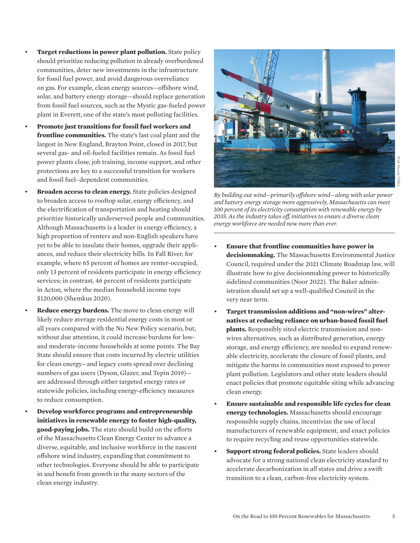- **Target reductions in power plant pollution.** State policy should prioritize reducing pollution in already overburdened communities, deter new investments in the infrastructure for fossil fuel power, and avoid dangerous overreliance on gas. For example, clean energy sources—offshore wind, solar, and battery energy storage—should replace generation from fossil fuel sources, such as the Mystic gas-fueled power plant in Everett, one of the state's most polluting facilities.
- **Promote just transitions for fossil fuel workers and frontline communities.** The state's last coal plant and the largest in New England, Brayton Point, closed in 2017, but several gas- and oil-fueled facilities remain. As fossil fuel power plants close, job training, income support, and other protections are key to a successful transition for workers and fossil fuel–dependent communities.
	- **Broaden access to clean energy.** State policies designed to broaden access to rooftop solar, energy efficiency, and the electrification of transportation and heating should prioritize historically underserved people and communities. Although Massachusetts is a leader in energy efficiency, a high proportion of renters and non-English speakers have yet to be able to insulate their homes, upgrade their appliances, and reduce their electricity bills. In Fall River, for example, where 65 percent of homes are renter-occupied, only 13 percent of residents participate in energy efficiency services; in contrast, 46 percent of residents participate in Acton, where the median household income tops \$120,000 (Shemkus 2020).
		- **Reduce energy burdens.** The move to clean energy will likely reduce average residential energy costs in most or all years compared with the No New Policy scenario, but, without due attention, it could increase burdens for lowand moderate-income households at some points. The Bay State should ensure that costs incurred by electric utilities for clean energy—and legacy costs spread over declining numbers of gas users (Dyson, Glazer, and Tepin 2019) are addressed through either targeted energy rates or statewide policies, including energy-efficiency measures to reduce consumption.
	- **Develop workforce programs and entrepreneurship initiatives in renewable energy to foster high-quality, good-paying jobs.** The state should build on the efforts of the Massachusetts Clean Energy Center to advance a diverse, equitable, and inclusive workforce in the nascent offshore wind industry, expanding that commitment to other technologies. Everyone should be able to participate in and benefit from growth in the many sectors of the clean energy industry.



*By building out wind—primarily offshore wind—along with solar power and battery energy storage more aggressively, Massachusetts can meet 100 percent of its electricity consumption with renewable energy by 2035. As the industry takes off, initiatives to ensure a diverse clean energy workforce are needed now more than ever.* 

- **Ensure that frontline communities have power in decisionmaking.** The Massachusetts Environmental Justice Council, required under the 2021 Climate Roadmap law, will illustrate how to give decisionmaking power to historically sidelined communities (Noor 2022). The Baker administration should set up a well-qualified Council in the very near term.
- **Target transmission additions and "non-wires" alternatives at reducing reliance on urban-based fossil fuel plants.** Responsibly sited electric transmission and nonwires alternatives, such as distributed generation, energy storage, and energy efficiency, are needed to expand renewable electricity, accelerate the closure of fossil plants, and mitigate the harms in communities most exposed to power plant pollution. Legislators and other state leaders should enact policies that promote equitable siting while advancing clean energy.
- **Ensure sustainable and responsible life cycles for clean energy technologies.** Massachusetts should encourage responsible supply chains, incentivize the use of local manufacturers of renewable equipment, and enact policies to require recycling and reuse opportunities statewide.
- **Support strong federal policies.** State leaders should advocate for a strong national clean electricity standard to accelerate decarbonization in *all* states and drive a swift transition to a clean, carbon-free electricity system.